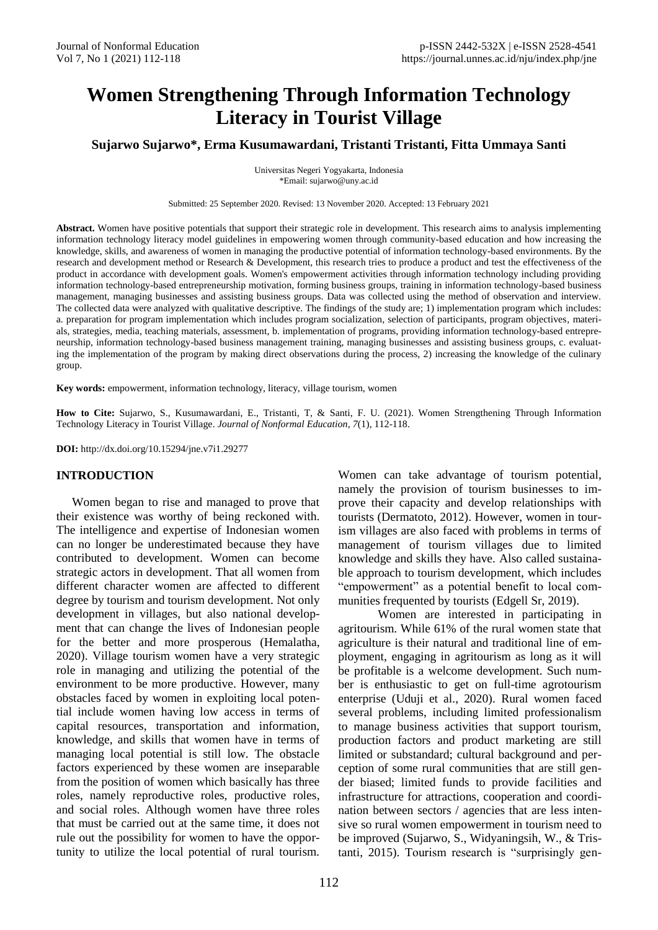# **Women Strengthening Through Information Technology Literacy in Tourist Village**

**Sujarwo Sujarwo\*, Erma Kusumawardani, Tristanti Tristanti, Fitta Ummaya Santi**

Universitas Negeri Yogyakarta, Indonesia \*Email: sujarwo@uny.ac.id

Submitted: 25 September 2020. Revised: 13 November 2020. Accepted: 13 February 2021

**Abstract.** Women have positive potentials that support their strategic role in development. This research aims to analysis implementing information technology literacy model guidelines in empowering women through community-based education and how increasing the knowledge, skills, and awareness of women in managing the productive potential of information technology-based environments. By the research and development method or Research & Development, this research tries to produce a product and test the effectiveness of the product in accordance with development goals. Women's empowerment activities through information technology including providing information technology-based entrepreneurship motivation, forming business groups, training in information technology-based business management, managing businesses and assisting business groups. Data was collected using the method of observation and interview. The collected data were analyzed with qualitative descriptive. The findings of the study are; 1) implementation program which includes: a. preparation for program implementation which includes program socialization, selection of participants, program objectives, materials, strategies, media, teaching materials, assessment, b. implementation of programs, providing information technology-based entrepreneurship, information technology-based business management training, managing businesses and assisting business groups, c. evaluating the implementation of the program by making direct observations during the process, 2) increasing the knowledge of the culinary group.

**Key words:** empowerment, information technology, literacy, village tourism, women

**How to Cite:** Sujarwo, S., Kusumawardani, E., Tristanti, T, & Santi, F. U. (2021). Women Strengthening Through Information Technology Literacy in Tourist Village. *Journal of Nonformal Education*, *7*(1), 112-118.

**DOI:** http://dx.doi.org/10.15294/jne.v7i1.29277

#### **INTRODUCTION**

Women began to rise and managed to prove that their existence was worthy of being reckoned with. The intelligence and expertise of Indonesian women can no longer be underestimated because they have contributed to development. Women can become strategic actors in development. That all women from different character women are affected to different degree by tourism and tourism development. Not only development in villages, but also national development that can change the lives of Indonesian people for the better and more prosperous (Hemalatha, 2020). Village tourism women have a very strategic role in managing and utilizing the potential of the environment to be more productive. However, many obstacles faced by women in exploiting local potential include women having low access in terms of capital resources, transportation and information, knowledge, and skills that women have in terms of managing local potential is still low. The obstacle factors experienced by these women are inseparable from the position of women which basically has three roles, namely reproductive roles, productive roles, and social roles. Although women have three roles that must be carried out at the same time, it does not rule out the possibility for women to have the opportunity to utilize the local potential of rural tourism.

Women can take advantage of tourism potential, namely the provision of tourism businesses to improve their capacity and develop relationships with tourists (Dermatoto, 2012). However, women in tourism villages are also faced with problems in terms of management of tourism villages due to limited knowledge and skills they have. Also called sustainable approach to tourism development, which includes "empowerment" as a potential benefit to local communities frequented by tourists (Edgell Sr, 2019).

Women are interested in participating in agritourism. While 61% of the rural women state that agriculture is their natural and traditional line of employment, engaging in agritourism as long as it will be profitable is a welcome development. Such number is enthusiastic to get on full-time agrotourism enterprise (Uduji et al., 2020). Rural women faced several problems, including limited professionalism to manage business activities that support tourism, production factors and product marketing are still limited or substandard; cultural background and perception of some rural communities that are still gender biased; limited funds to provide facilities and infrastructure for attractions, cooperation and coordination between sectors / agencies that are less intensive so rural women empowerment in tourism need to be improved (Sujarwo, S., Widyaningsih, W., & Tristanti, 2015). Tourism research is "surprisingly gen-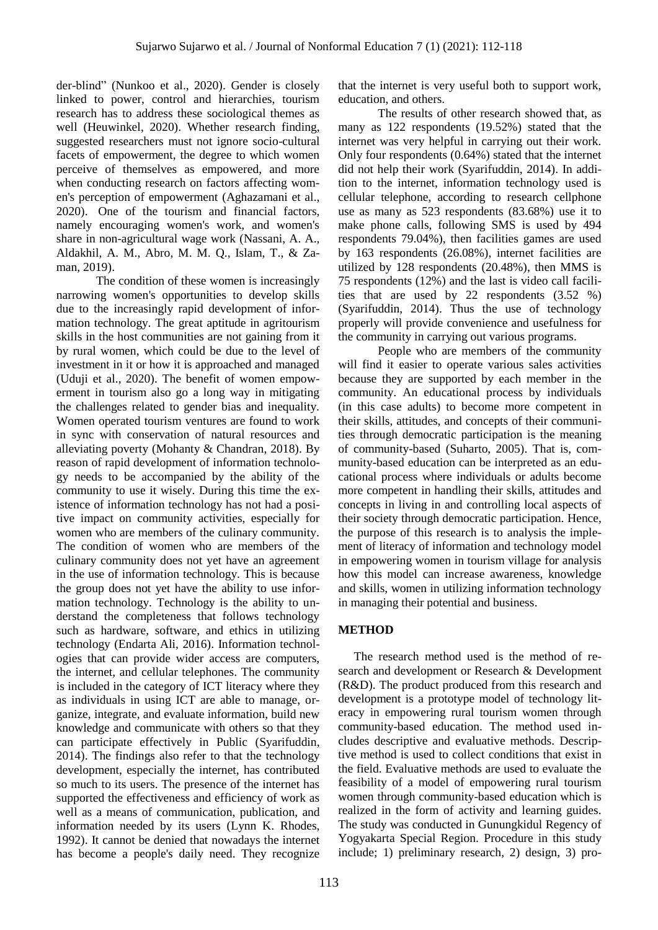der-blind" (Nunkoo et al., 2020). Gender is closely linked to power, control and hierarchies, tourism research has to address these sociological themes as well (Heuwinkel, 2020). Whether research finding, suggested researchers must not ignore socio-cultural facets of empowerment, the degree to which women perceive of themselves as empowered, and more when conducting research on factors affecting women's perception of empowerment (Aghazamani et al., 2020). One of the tourism and financial factors, namely encouraging women's work, and women's share in non-agricultural wage work (Nassani, A. A., Aldakhil, A. M., Abro, M. M. Q., Islam, T., & Zaman, 2019).

The condition of these women is increasingly narrowing women's opportunities to develop skills due to the increasingly rapid development of information technology. The great aptitude in agritourism skills in the host communities are not gaining from it by rural women, which could be due to the level of investment in it or how it is approached and managed (Uduji et al., 2020). The benefit of women empowerment in tourism also go a long way in mitigating the challenges related to gender bias and inequality. Women operated tourism ventures are found to work in sync with conservation of natural resources and alleviating poverty (Mohanty & Chandran, 2018). By reason of rapid development of information technology needs to be accompanied by the ability of the community to use it wisely. During this time the existence of information technology has not had a positive impact on community activities, especially for women who are members of the culinary community. The condition of women who are members of the culinary community does not yet have an agreement in the use of information technology. This is because the group does not yet have the ability to use information technology. Technology is the ability to understand the completeness that follows technology such as hardware, software, and ethics in utilizing technology (Endarta Ali, 2016). Information technologies that can provide wider access are computers, the internet, and cellular telephones. The community is included in the category of ICT literacy where they as individuals in using ICT are able to manage, organize, integrate, and evaluate information, build new knowledge and communicate with others so that they can participate effectively in Public (Syarifuddin, 2014). The findings also refer to that the technology development, especially the internet, has contributed so much to its users. The presence of the internet has supported the effectiveness and efficiency of work as well as a means of communication, publication, and information needed by its users (Lynn K. Rhodes, 1992). It cannot be denied that nowadays the internet has become a people's daily need. They recognize

that the internet is very useful both to support work, education, and others.

The results of other research showed that, as many as 122 respondents (19.52%) stated that the internet was very helpful in carrying out their work. Only four respondents (0.64%) stated that the internet did not help their work (Syarifuddin, 2014). In addition to the internet, information technology used is cellular telephone, according to research cellphone use as many as 523 respondents (83.68%) use it to make phone calls, following SMS is used by 494 respondents 79.04%), then facilities games are used by 163 respondents (26.08%), internet facilities are utilized by 128 respondents (20.48%), then MMS is 75 respondents (12%) and the last is video call facilities that are used by 22 respondents (3.52 %) (Syarifuddin, 2014). Thus the use of technology properly will provide convenience and usefulness for the community in carrying out various programs.

People who are members of the community will find it easier to operate various sales activities because they are supported by each member in the community. An educational process by individuals (in this case adults) to become more competent in their skills, attitudes, and concepts of their communities through democratic participation is the meaning of community-based (Suharto, 2005). That is, community-based education can be interpreted as an educational process where individuals or adults become more competent in handling their skills, attitudes and concepts in living in and controlling local aspects of their society through democratic participation. Hence, the purpose of this research is to analysis the implement of literacy of information and technology model in empowering women in tourism village for analysis how this model can increase awareness, knowledge and skills, women in utilizing information technology in managing their potential and business.

## **METHOD**

The research method used is the method of research and development or Research & Development (R&D). The product produced from this research and development is a prototype model of technology literacy in empowering rural tourism women through community-based education. The method used includes descriptive and evaluative methods. Descriptive method is used to collect conditions that exist in the field. Evaluative methods are used to evaluate the feasibility of a model of empowering rural tourism women through community-based education which is realized in the form of activity and learning guides. The study was conducted in Gunungkidul Regency of Yogyakarta Special Region. Procedure in this study include; 1) preliminary research, 2) design, 3) pro-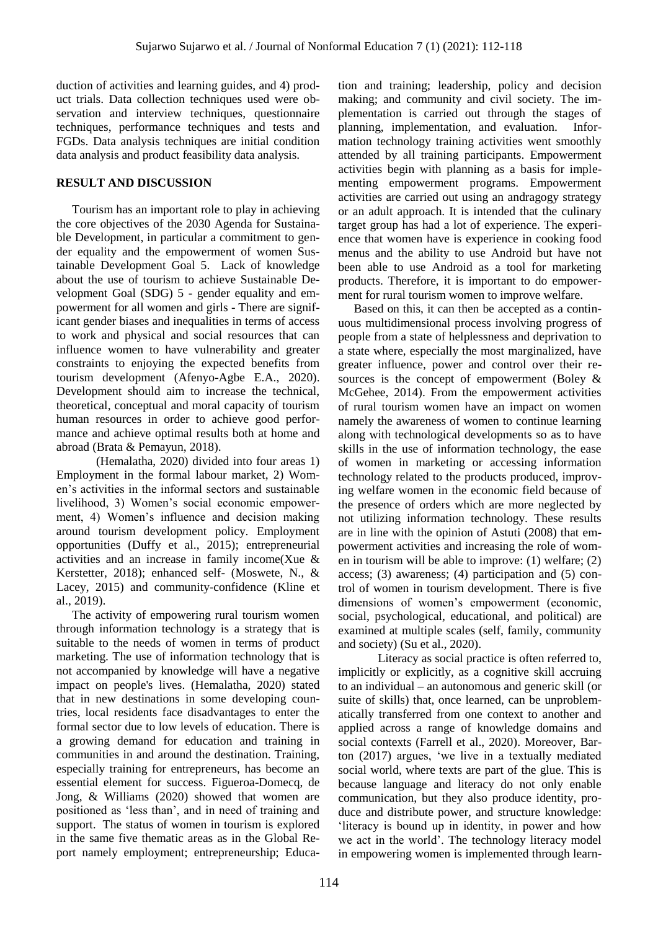duction of activities and learning guides, and 4) product trials. Data collection techniques used were observation and interview techniques, questionnaire techniques, performance techniques and tests and FGDs. Data analysis techniques are initial condition data analysis and product feasibility data analysis.

#### **RESULT AND DISCUSSION**

Tourism has an important role to play in achieving the core objectives of the 2030 Agenda for Sustainable Development, in particular a commitment to gender equality and the empowerment of women Sustainable Development Goal 5. Lack of knowledge about the use of tourism to achieve Sustainable Development Goal (SDG) 5 - gender equality and empowerment for all women and girls - There are significant gender biases and inequalities in terms of access to work and physical and social resources that can influence women to have vulnerability and greater constraints to enjoying the expected benefits from tourism development (Afenyo-Agbe E.A., 2020). Development should aim to increase the technical, theoretical, conceptual and moral capacity of tourism human resources in order to achieve good performance and achieve optimal results both at home and abroad (Brata & Pemayun, 2018).

(Hemalatha, 2020) divided into four areas 1) Employment in the formal labour market, 2) Women"s activities in the informal sectors and sustainable livelihood, 3) Women's social economic empowerment, 4) Women"s influence and decision making around tourism development policy. Employment opportunities (Duffy et al., 2015); entrepreneurial activities and an increase in family income(Xue & Kerstetter, 2018); enhanced self- (Moswete, N., & Lacey, 2015) and community-confidence (Kline et al., 2019).

The activity of empowering rural tourism women through information technology is a strategy that is suitable to the needs of women in terms of product marketing. The use of information technology that is not accompanied by knowledge will have a negative impact on people's lives. (Hemalatha, 2020) stated that in new destinations in some developing countries, local residents face disadvantages to enter the formal sector due to low levels of education. There is a growing demand for education and training in communities in and around the destination. Training, especially training for entrepreneurs, has become an essential element for success. Figueroa-Domecq, de Jong, & Williams (2020) showed that women are positioned as "less than", and in need of training and support. The status of women in tourism is explored in the same five thematic areas as in the Global Report namely employment; entrepreneurship; Education and training; leadership, policy and decision making; and community and civil society. The implementation is carried out through the stages of planning, implementation, and evaluation. Information technology training activities went smoothly attended by all training participants. Empowerment activities begin with planning as a basis for implementing empowerment programs. Empowerment activities are carried out using an andragogy strategy or an adult approach. It is intended that the culinary target group has had a lot of experience. The experience that women have is experience in cooking food menus and the ability to use Android but have not been able to use Android as a tool for marketing products. Therefore, it is important to do empowerment for rural tourism women to improve welfare.

Based on this, it can then be accepted as a continuous multidimensional process involving progress of people from a state of helplessness and deprivation to a state where, especially the most marginalized, have greater influence, power and control over their resources is the concept of empowerment (Boley & McGehee, 2014). From the empowerment activities of rural tourism women have an impact on women namely the awareness of women to continue learning along with technological developments so as to have skills in the use of information technology, the ease of women in marketing or accessing information technology related to the products produced, improving welfare women in the economic field because of the presence of orders which are more neglected by not utilizing information technology. These results are in line with the opinion of Astuti (2008) that empowerment activities and increasing the role of women in tourism will be able to improve: (1) welfare; (2) access; (3) awareness; (4) participation and (5) control of women in tourism development. There is five dimensions of women"s empowerment (economic, social, psychological, educational, and political) are examined at multiple scales (self, family, community and society) (Su et al., 2020).

Literacy as social practice is often referred to, implicitly or explicitly, as a cognitive skill accruing to an individual – an autonomous and generic skill (or suite of skills) that, once learned, can be unproblematically transferred from one context to another and applied across a range of knowledge domains and social contexts (Farrell et al., 2020). Moreover, Barton (2017) argues, "we live in a textually mediated social world, where texts are part of the glue. This is because language and literacy do not only enable communication, but they also produce identity, produce and distribute power, and structure knowledge: "literacy is bound up in identity, in power and how we act in the world". The technology literacy model in empowering women is implemented through learn-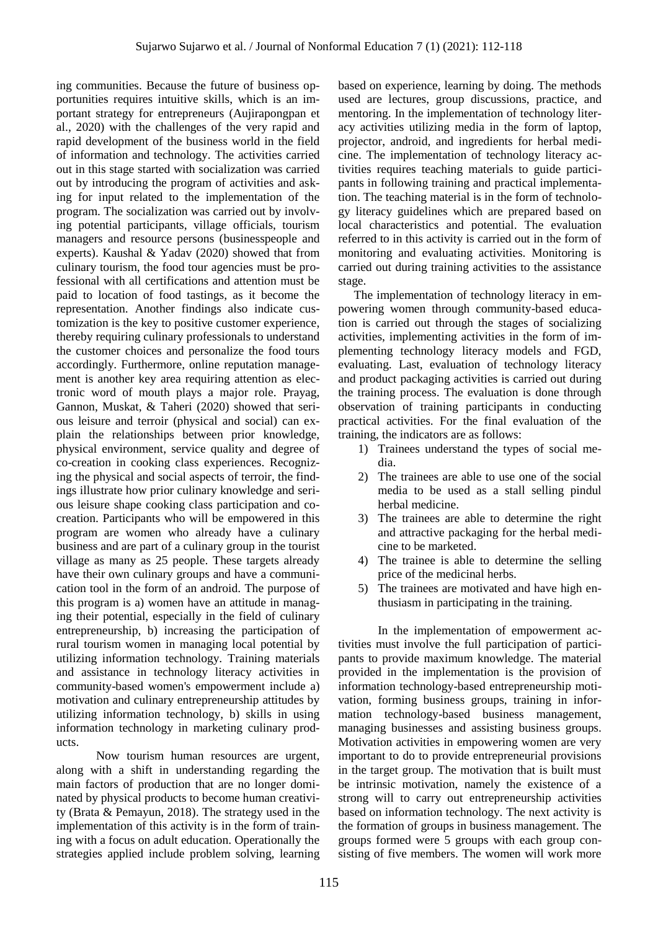ing communities. Because the future of business opportunities requires intuitive skills, which is an important strategy for entrepreneurs (Aujirapongpan et al., 2020) with the challenges of the very rapid and rapid development of the business world in the field of information and technology. The activities carried out in this stage started with socialization was carried out by introducing the program of activities and asking for input related to the implementation of the program. The socialization was carried out by involving potential participants, village officials, tourism managers and resource persons (businesspeople and experts). Kaushal & Yadav (2020) showed that from culinary tourism, the food tour agencies must be professional with all certifications and attention must be paid to location of food tastings, as it become the representation. Another findings also indicate customization is the key to positive customer experience, thereby requiring culinary professionals to understand the customer choices and personalize the food tours accordingly. Furthermore, online reputation management is another key area requiring attention as electronic word of mouth plays a major role. Prayag, Gannon, Muskat, & Taheri (2020) showed that serious leisure and terroir (physical and social) can explain the relationships between prior knowledge, physical environment, service quality and degree of co-creation in cooking class experiences. Recognizing the physical and social aspects of terroir, the findings illustrate how prior culinary knowledge and serious leisure shape cooking class participation and cocreation. Participants who will be empowered in this program are women who already have a culinary business and are part of a culinary group in the tourist village as many as 25 people. These targets already have their own culinary groups and have a communication tool in the form of an android. The purpose of this program is a) women have an attitude in managing their potential, especially in the field of culinary entrepreneurship, b) increasing the participation of rural tourism women in managing local potential by utilizing information technology. Training materials and assistance in technology literacy activities in community-based women's empowerment include a) motivation and culinary entrepreneurship attitudes by utilizing information technology, b) skills in using information technology in marketing culinary products.

Now tourism human resources are urgent, along with a shift in understanding regarding the main factors of production that are no longer dominated by physical products to become human creativity (Brata & Pemayun, 2018). The strategy used in the implementation of this activity is in the form of training with a focus on adult education. Operationally the strategies applied include problem solving, learning

based on experience, learning by doing. The methods used are lectures, group discussions, practice, and mentoring. In the implementation of technology literacy activities utilizing media in the form of laptop, projector, android, and ingredients for herbal medicine. The implementation of technology literacy activities requires teaching materials to guide participants in following training and practical implementation. The teaching material is in the form of technology literacy guidelines which are prepared based on local characteristics and potential. The evaluation referred to in this activity is carried out in the form of monitoring and evaluating activities. Monitoring is carried out during training activities to the assistance stage.

The implementation of technology literacy in empowering women through community-based education is carried out through the stages of socializing activities, implementing activities in the form of implementing technology literacy models and FGD, evaluating. Last, evaluation of technology literacy and product packaging activities is carried out during the training process. The evaluation is done through observation of training participants in conducting practical activities. For the final evaluation of the training, the indicators are as follows:

- 1) Trainees understand the types of social media.
- 2) The trainees are able to use one of the social media to be used as a stall selling pindul herbal medicine.
- 3) The trainees are able to determine the right and attractive packaging for the herbal medicine to be marketed.
- 4) The trainee is able to determine the selling price of the medicinal herbs.
- 5) The trainees are motivated and have high enthusiasm in participating in the training.

In the implementation of empowerment activities must involve the full participation of participants to provide maximum knowledge. The material provided in the implementation is the provision of information technology-based entrepreneurship motivation, forming business groups, training in information technology-based business management, managing businesses and assisting business groups. Motivation activities in empowering women are very important to do to provide entrepreneurial provisions in the target group. The motivation that is built must be intrinsic motivation, namely the existence of a strong will to carry out entrepreneurship activities based on information technology. The next activity is the formation of groups in business management. The groups formed were 5 groups with each group consisting of five members. The women will work more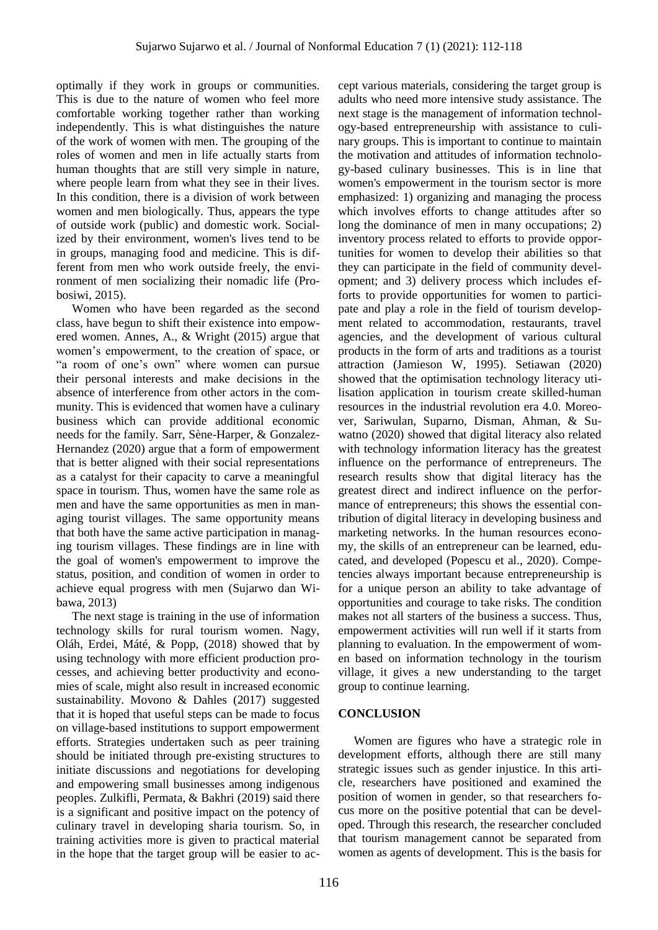optimally if they work in groups or communities. This is due to the nature of women who feel more comfortable working together rather than working independently. This is what distinguishes the nature of the work of women with men. The grouping of the roles of women and men in life actually starts from human thoughts that are still very simple in nature, where people learn from what they see in their lives. In this condition, there is a division of work between women and men biologically. Thus, appears the type of outside work (public) and domestic work. Socialized by their environment, women's lives tend to be in groups, managing food and medicine. This is different from men who work outside freely, the environment of men socializing their nomadic life (Probosiwi, 2015).

Women who have been regarded as the second class, have begun to shift their existence into empowered women. Annes, A., & Wright (2015) argue that women"s empowerment, to the creation of space, or "a room of one"s own" where women can pursue their personal interests and make decisions in the absence of interference from other actors in the community. This is evidenced that women have a culinary business which can provide additional economic needs for the family. Sarr, Sène-Harper, & Gonzalez-Hernandez (2020) argue that a form of empowerment that is better aligned with their social representations as a catalyst for their capacity to carve a meaningful space in tourism. Thus, women have the same role as men and have the same opportunities as men in managing tourist villages. The same opportunity means that both have the same active participation in managing tourism villages. These findings are in line with the goal of women's empowerment to improve the status, position, and condition of women in order to achieve equal progress with men (Sujarwo dan Wibawa, 2013)

The next stage is training in the use of information technology skills for rural tourism women. Nagy, Oláh, Erdei, Máté, & Popp, (2018) showed that by using technology with more efficient production processes, and achieving better productivity and economies of scale, might also result in increased economic sustainability. Movono & Dahles (2017) suggested that it is hoped that useful steps can be made to focus on village-based institutions to support empowerment efforts. Strategies undertaken such as peer training should be initiated through pre-existing structures to initiate discussions and negotiations for developing and empowering small businesses among indigenous peoples. Zulkifli, Permata, & Bakhri (2019) said there is a significant and positive impact on the potency of culinary travel in developing sharia tourism. So, in training activities more is given to practical material in the hope that the target group will be easier to accept various materials, considering the target group is adults who need more intensive study assistance. The next stage is the management of information technology-based entrepreneurship with assistance to culinary groups. This is important to continue to maintain the motivation and attitudes of information technology-based culinary businesses. This is in line that women's empowerment in the tourism sector is more emphasized: 1) organizing and managing the process which involves efforts to change attitudes after so long the dominance of men in many occupations; 2) inventory process related to efforts to provide opportunities for women to develop their abilities so that they can participate in the field of community development; and 3) delivery process which includes efforts to provide opportunities for women to participate and play a role in the field of tourism development related to accommodation, restaurants, travel agencies, and the development of various cultural products in the form of arts and traditions as a tourist attraction (Jamieson W, 1995). Setiawan (2020) showed that the optimisation technology literacy utilisation application in tourism create skilled-human resources in the industrial revolution era 4.0. Moreover, Sariwulan, Suparno, Disman, Ahman, & Suwatno (2020) showed that digital literacy also related with technology information literacy has the greatest influence on the performance of entrepreneurs. The research results show that digital literacy has the greatest direct and indirect influence on the performance of entrepreneurs; this shows the essential contribution of digital literacy in developing business and marketing networks. In the human resources economy, the skills of an entrepreneur can be learned, educated, and developed (Popescu et al., 2020). Competencies always important because entrepreneurship is for a unique person an ability to take advantage of opportunities and courage to take risks. The condition makes not all starters of the business a success. Thus, empowerment activities will run well if it starts from planning to evaluation. In the empowerment of women based on information technology in the tourism village, it gives a new understanding to the target group to continue learning.

### **CONCLUSION**

Women are figures who have a strategic role in development efforts, although there are still many strategic issues such as gender injustice. In this article, researchers have positioned and examined the position of women in gender, so that researchers focus more on the positive potential that can be developed. Through this research, the researcher concluded that tourism management cannot be separated from women as agents of development. This is the basis for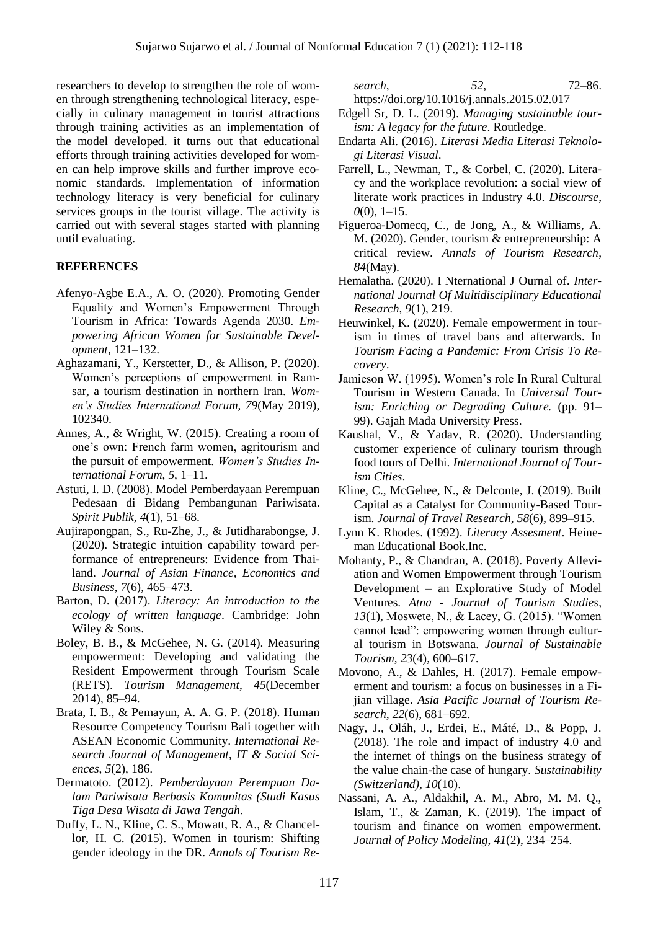researchers to develop to strengthen the role of women through strengthening technological literacy, especially in culinary management in tourist attractions through training activities as an implementation of the model developed. it turns out that educational efforts through training activities developed for women can help improve skills and further improve economic standards. Implementation of information technology literacy is very beneficial for culinary services groups in the tourist village. The activity is carried out with several stages started with planning until evaluating.

#### **REFERENCES**

- Afenyo-Agbe E.A., A. O. (2020). Promoting Gender Equality and Women"s Empowerment Through Tourism in Africa: Towards Agenda 2030. *Empowering African Women for Sustainable Development*, 121–132.
- Aghazamani, Y., Kerstetter, D., & Allison, P. (2020). Women"s perceptions of empowerment in Ramsar, a tourism destination in northern Iran. *Women's Studies International Forum*, *79*(May 2019), 102340.
- Annes, A., & Wright, W. (2015). Creating a room of one"s own: French farm women, agritourism and the pursuit of empowerment. *Women's Studies International Forum*, *5*, 1–11.
- Astuti, I. D. (2008). Model Pemberdayaan Perempuan Pedesaan di Bidang Pembangunan Pariwisata. *Spirit Publik*, *4*(1), 51–68.
- Aujirapongpan, S., Ru-Zhe, J., & Jutidharabongse, J. (2020). Strategic intuition capability toward performance of entrepreneurs: Evidence from Thailand. *Journal of Asian Finance, Economics and Business*, *7*(6), 465–473.
- Barton, D. (2017). *Literacy: An introduction to the ecology of written language*. Cambridge: John Wiley & Sons.
- Boley, B. B., & McGehee, N. G. (2014). Measuring empowerment: Developing and validating the Resident Empowerment through Tourism Scale (RETS). *Tourism Management*, *45*(December 2014), 85–94.
- Brata, I. B., & Pemayun, A. A. G. P. (2018). Human Resource Competency Tourism Bali together with ASEAN Economic Community. *International Research Journal of Management, IT & Social Sciences*, *5*(2), 186.
- Dermatoto. (2012). *Pemberdayaan Perempuan Dalam Pariwisata Berbasis Komunitas (Studi Kasus Tiga Desa Wisata di Jawa Tengah*.
- Duffy, L. N., Kline, C. S., Mowatt, R. A., & Chancellor, H. C. (2015). Women in tourism: Shifting gender ideology in the DR. *Annals of Tourism Re-*

*search*, *52*, 72–86. https://doi.org/10.1016/j.annals.2015.02.017

- Edgell Sr, D. L. (2019). *Managing sustainable tourism: A legacy for the future*. Routledge.
- Endarta Ali. (2016). *Literasi Media Literasi Teknologi Literasi Visual*.
- Farrell, L., Newman, T., & Corbel, C. (2020). Literacy and the workplace revolution: a social view of literate work practices in Industry 4.0. *Discourse*, *0*(0), 1–15.
- Figueroa-Domecq, C., de Jong, A., & Williams, A. M. (2020). Gender, tourism & entrepreneurship: A critical review. *Annals of Tourism Research*, *84*(May).
- Hemalatha. (2020). I Nternational J Ournal of. *International Journal Of Multidisciplinary Educational Research*, *9*(1), 219.
- Heuwinkel, K. (2020). Female empowerment in tourism in times of travel bans and afterwards. In *Tourism Facing a Pandemic: From Crisis To Recovery*.
- Jamieson W. (1995). Women"s role In Rural Cultural Tourism in Western Canada. In *Universal Tourism: Enriching or Degrading Culture.* (pp. 91– 99). Gajah Mada University Press.
- Kaushal, V., & Yadav, R. (2020). Understanding customer experience of culinary tourism through food tours of Delhi. *International Journal of Tourism Cities*.
- Kline, C., McGehee, N., & Delconte, J. (2019). Built Capital as a Catalyst for Community-Based Tourism. *Journal of Travel Research*, *58*(6), 899–915.
- Lynn K. Rhodes. (1992). *Literacy Assesment*. Heineman Educational Book.Inc.
- Mohanty, P., & Chandran, A. (2018). Poverty Alleviation and Women Empowerment through Tourism Development – an Explorative Study of Model Ventures. *Atna - Journal of Tourism Studies*, *13*(1), Moswete, N., & Lacey, G. (2015). "Women cannot lead": empowering women through cultural tourism in Botswana. *Journal of Sustainable Tourism*, *23*(4), 600–617.
- Movono, A., & Dahles, H. (2017). Female empowerment and tourism: a focus on businesses in a Fijian village. *Asia Pacific Journal of Tourism Research*, *22*(6), 681–692.
- Nagy, J., Oláh, J., Erdei, E., Máté, D., & Popp, J. (2018). The role and impact of industry 4.0 and the internet of things on the business strategy of the value chain-the case of hungary. *Sustainability (Switzerland)*, *10*(10).
- Nassani, A. A., Aldakhil, A. M., Abro, M. M. Q., Islam, T., & Zaman, K. (2019). The impact of tourism and finance on women empowerment. *Journal of Policy Modeling*, *41*(2), 234–254.